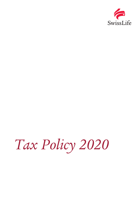

# *Tax Policy 2020*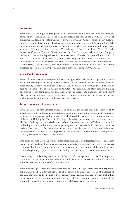## **Introduction**

[Swiss Life is a leading European provider of comprehensive life and pensions and financial](https://www.swisslife.com/en/swisslifegroup/overview.html)  [solutions. Swiss Life enables people to lead a self-determined life and has more than 160 years of](https://www.swisslife.com/en/swisslifegroup/overview.html)  [experience in affording people financial security. The Swiss Life Group operates in Switzerland,](https://www.swisslife.com/en/swisslifegroup/overview.html)  [France, Germany, Luxembourg, Liechtenstein, Singapore and the United Kingdom. Swiss Life](https://www.swisslife.com/en/swisslifegroup/overview.html)  [provides multinational corporations with employee benefits solutions and individuals with](https://www.swisslife.com/en/swisslifegroup/overview.html)  [structured life and pensions products. The advisors of Swiss Life Select, Tecis, Horbach,](https://www.swisslife.com/en/swisslifegroup/overview.html)  [Proventus, Chase de Vere and Fincentrum use the Best Select approach in various European](https://www.swisslife.com/en/swisslifegroup/overview.html)  [markets to choose suitable products for customers. Swiss Life Asset Managers offers institutional](https://www.swisslife.com/en/swisslifegroup/overview.html)  [and private investors in Switzerland, France, Germany and the United Kingdom access to](https://www.swisslife.com/en/swisslifegroup/overview.html)  [investment and asset management solutions. The Group also comprises](https://www.swisslife.com/en/swisslifegroup/overview.html) the subsidiaries Livit, [Corpus Sireo, Mayfair Capital, Beos](https://www.swisslife.com/en/swisslifegroup/overview.html) and Fontavis. At the end of 2019 the Swiss Life Group employed approximately 9300 people and had a network of some 14000 advisors.

### **Commitment to compliance**

Swiss Life takes its corporate responsibilities seriously, whether in its business operations, its role as an employer, as part of society or with respect to the environment and is a member of several sustainability initiatives as outlined in its [Sustainability](https://www.swisslife.com/content/dam/com_rel/dokumente/fy_results/fy_2019/SwissLife_CorporateSustainability_FY19_en.pdf) Report. As a taxpayer, Swiss Life aims to bear its fair share of the public budget, contributes to the economy and offers jobs and training opportunities. Tax compliance for us means paying the appropriate amount of tax in the right place on a timely basis. It involves disclosing relevant facts and circumstances to the tax authorities and claiming reliefs and incentives where available.

### **Tax governance and risk management**

Swiss Life complies with accepted standards of corporate governance and, in the interests of its shareholders, policyholders and staff, attaches great importance to the requirements entailed in terms of the management and organisation of the Swiss Life Group. The corporate governance of Swiss Life Holding Ltd (Swiss Life Holding) is based on the relevant directives issued by the SIX Swiss Exchange and the Swiss Financial Market Supervisory Authority FINMA. It is modelled on leading national and international corporate governance standards; in particular, the Swiss Code of Best Practice for Corporate Governance issued by the Swiss Business Federation "economiesuisse", as well as the Organization for Economic Cooperation and Development's (OECD) principles on corporate governance.

One pillar of Swiss Life's responsible, sustainable business is its integrated, value-oriented risk management involving both quantitative and qualitative elements. The goal is to protect customers' funds and ensure the best possible investment of risk capital, while complying with legal and regulatory requirements and considering the current capital market environment.

Risk management is a key component of Swiss Life's management process. The respective committees of the Corporate Executive Board and the Board of Directors continually monitor and take decisions in the area of risk management.

Swiss Life sets great store by compliance with all applicable legal provisions and regulatory stipulations in all its activities. Its Code of Conduct is an important tool in this respect. It contains the values and principles of Swiss Life as well as the rules of conduct, which are binding for all employees. It stipulates that all employees of Swiss Life must comply fully with all applicable laws and regulations, all relevant internal directives and guidelines.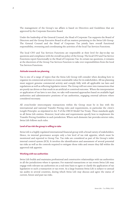The management of the Group's tax affairs is based on Directives and Guidelines that are approved by the Corporate Executive Board.

Under the leadership of the General Counsel, the Head of Corporate Tax supports the Board of Directors and the Group Executive Board in all tax matters pertaining to the Swiss Life Group. The General Counsel and the Head of Corporate Tax jointly have overall functional responsibility, overseeing and coordinating the activities of the local Tax Services Functions.

The local CFO and Tax Services Functions are responsible at their level for day-to-day tax questions and compliance with the overall tax policy of the Group. The local CFO and Tax Service Functions report functionally to the Head of Corporate Tax. In certain tax questions, it remains at the discretion of the Group Tax Services Function to take over responsibilities from the local Tax Services Functions.

# **Attitude towards tax planning**

Tax is one of a range of topics that the Swiss Life Group will consider when deciding how to organize its commercial activities to create sustainable value for its stakeholders. All tax planning must support genuine commercial activity and comply fully with all applicable tax laws and regulations as well as reflecting legislative intent. The Group will not enter into transactions that are purely tax driven or that result in an artificial or contrived outcome. Where the interpretation or application of tax laws is not clear, we take well-reasoned approaches based on available legal authorities and administrative positions of tax authorities, engaging external advisors where considered necessary.

All cross-border intercompany transactions within the Group must be in line with the international and national Transfer Pricing rules and requirements, in particular the «Arm's Length Principle» as stipulated in Art. 9 of the OECD Model Tax Treaty. These standards apply to all Swiss Life entities. However, local rules and requirements specify how to implement the Transfer Pricing Guideline in each jurisdiction. Where such domestic law provides stricter rules, Swiss Life follows such rules.

# **Level of tax risk the group is willing to take**

Swiss Life is a highly regulated international financial group with a broad variety of stakeholders. Hence, its internal governance accepts only a low level of tax risk appetite, which must be monitored and reported to Group Tax. Tax risks are considered as part of the Group's wider internal control system (ICS). It involves the identification and assessment of several potential tax risks as well as the controls required to mitigate those risks and ensure they fall within the approved risk appetite.

# **Working with tax authorities**

Swiss Life builds and maintains professional and constructive relationships with tax authorities in all the jurisdictions where it operates. For material transactions or tax events Swiss Life may engage with relevant tax authorities on a real time basis to agree or clarify the application of tax legislation to such a transaction or tax event. As a large business Swiss Life is subject to annual tax audits in several countries, during which Swiss Life may discuss and agree the status of current, future and past tax risks.